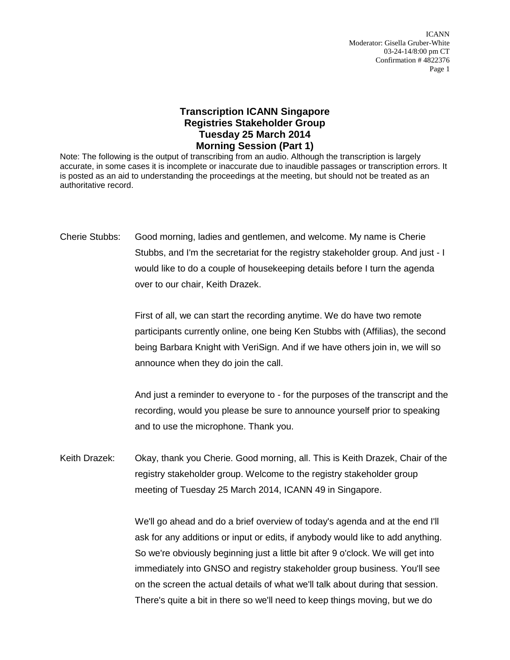ICANN Moderator: Gisella Gruber-White 03-24-14/8:00 pm CT Confirmation # 4822376 Page 1

## **Transcription ICANN Singapore Registries Stakeholder Group Tuesday 25 March 2014 Morning Session (Part 1)**

Note: The following is the output of transcribing from an audio. Although the transcription is largely accurate, in some cases it is incomplete or inaccurate due to inaudible passages or transcription errors. It is posted as an aid to understanding the proceedings at the meeting, but should not be treated as an authoritative record.

Cherie Stubbs: Good morning, ladies and gentlemen, and welcome. My name is Cherie Stubbs, and I'm the secretariat for the registry stakeholder group. And just - I would like to do a couple of housekeeping details before I turn the agenda over to our chair, Keith Drazek.

> First of all, we can start the recording anytime. We do have two remote participants currently online, one being Ken Stubbs with (Affilias), the second being Barbara Knight with VeriSign. And if we have others join in, we will so announce when they do join the call.

> And just a reminder to everyone to - for the purposes of the transcript and the recording, would you please be sure to announce yourself prior to speaking and to use the microphone. Thank you.

Keith Drazek: Okay, thank you Cherie. Good morning, all. This is Keith Drazek, Chair of the registry stakeholder group. Welcome to the registry stakeholder group meeting of Tuesday 25 March 2014, ICANN 49 in Singapore.

> We'll go ahead and do a brief overview of today's agenda and at the end I'll ask for any additions or input or edits, if anybody would like to add anything. So we're obviously beginning just a little bit after 9 o'clock. We will get into immediately into GNSO and registry stakeholder group business. You'll see on the screen the actual details of what we'll talk about during that session. There's quite a bit in there so we'll need to keep things moving, but we do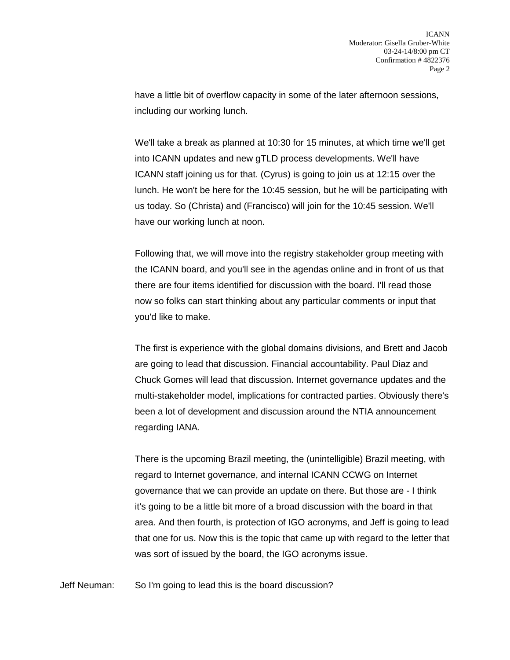have a little bit of overflow capacity in some of the later afternoon sessions, including our working lunch.

We'll take a break as planned at 10:30 for 15 minutes, at which time we'll get into ICANN updates and new gTLD process developments. We'll have ICANN staff joining us for that. (Cyrus) is going to join us at 12:15 over the lunch. He won't be here for the 10:45 session, but he will be participating with us today. So (Christa) and (Francisco) will join for the 10:45 session. We'll have our working lunch at noon.

Following that, we will move into the registry stakeholder group meeting with the ICANN board, and you'll see in the agendas online and in front of us that there are four items identified for discussion with the board. I'll read those now so folks can start thinking about any particular comments or input that you'd like to make.

The first is experience with the global domains divisions, and Brett and Jacob are going to lead that discussion. Financial accountability. Paul Diaz and Chuck Gomes will lead that discussion. Internet governance updates and the multi-stakeholder model, implications for contracted parties. Obviously there's been a lot of development and discussion around the NTIA announcement regarding IANA.

There is the upcoming Brazil meeting, the (unintelligible) Brazil meeting, with regard to Internet governance, and internal ICANN CCWG on Internet governance that we can provide an update on there. But those are - I think it's going to be a little bit more of a broad discussion with the board in that area. And then fourth, is protection of IGO acronyms, and Jeff is going to lead that one for us. Now this is the topic that came up with regard to the letter that was sort of issued by the board, the IGO acronyms issue.

Jeff Neuman: So I'm going to lead this is the board discussion?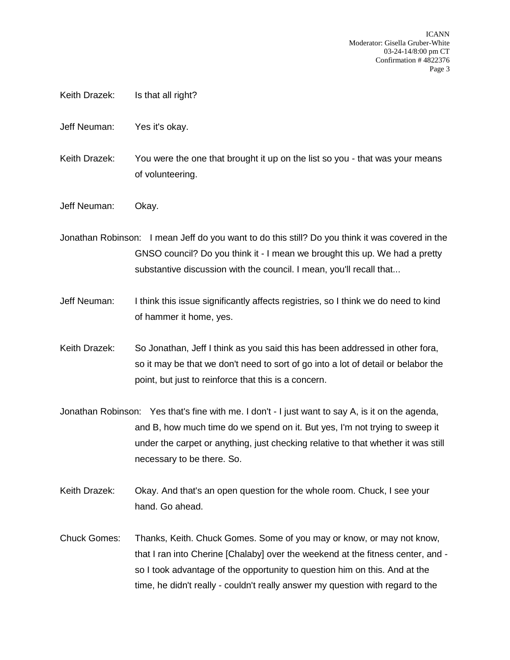- Keith Drazek: Is that all right?
- Jeff Neuman: Yes it's okay.
- Keith Drazek: You were the one that brought it up on the list so you that was your means of volunteering.
- Jeff Neuman: Okay.

Jonathan Robinson: I mean Jeff do you want to do this still? Do you think it was covered in the GNSO council? Do you think it - I mean we brought this up. We had a pretty substantive discussion with the council. I mean, you'll recall that...

- Jeff Neuman: I think this issue significantly affects registries, so I think we do need to kind of hammer it home, yes.
- Keith Drazek: So Jonathan, Jeff I think as you said this has been addressed in other fora, so it may be that we don't need to sort of go into a lot of detail or belabor the point, but just to reinforce that this is a concern.
- Jonathan Robinson: Yes that's fine with me. I don't I just want to say A, is it on the agenda, and B, how much time do we spend on it. But yes, I'm not trying to sweep it under the carpet or anything, just checking relative to that whether it was still necessary to be there. So.
- Keith Drazek: Okay. And that's an open question for the whole room. Chuck, I see your hand. Go ahead.
- Chuck Gomes: Thanks, Keith. Chuck Gomes. Some of you may or know, or may not know, that I ran into Cherine [Chalaby] over the weekend at the fitness center, and so I took advantage of the opportunity to question him on this. And at the time, he didn't really - couldn't really answer my question with regard to the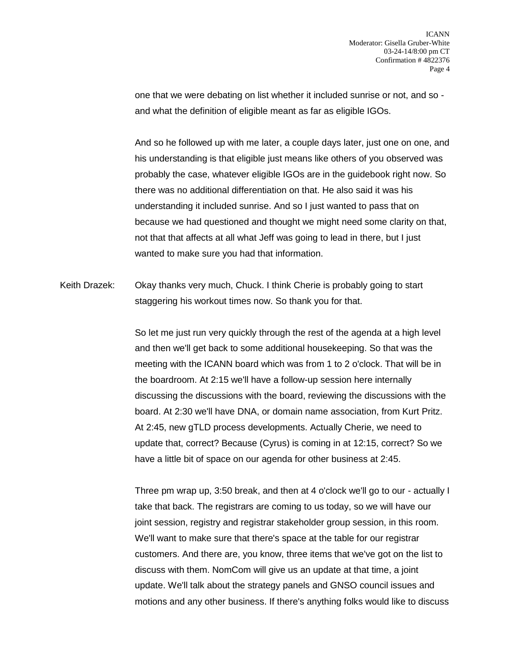one that we were debating on list whether it included sunrise or not, and so and what the definition of eligible meant as far as eligible IGOs.

And so he followed up with me later, a couple days later, just one on one, and his understanding is that eligible just means like others of you observed was probably the case, whatever eligible IGOs are in the guidebook right now. So there was no additional differentiation on that. He also said it was his understanding it included sunrise. And so I just wanted to pass that on because we had questioned and thought we might need some clarity on that, not that that affects at all what Jeff was going to lead in there, but I just wanted to make sure you had that information.

Keith Drazek: Okay thanks very much, Chuck. I think Cherie is probably going to start staggering his workout times now. So thank you for that.

> So let me just run very quickly through the rest of the agenda at a high level and then we'll get back to some additional housekeeping. So that was the meeting with the ICANN board which was from 1 to 2 o'clock. That will be in the boardroom. At 2:15 we'll have a follow-up session here internally discussing the discussions with the board, reviewing the discussions with the board. At 2:30 we'll have DNA, or domain name association, from Kurt Pritz. At 2:45, new gTLD process developments. Actually Cherie, we need to update that, correct? Because (Cyrus) is coming in at 12:15, correct? So we have a little bit of space on our agenda for other business at 2:45.

Three pm wrap up, 3:50 break, and then at 4 o'clock we'll go to our - actually I take that back. The registrars are coming to us today, so we will have our joint session, registry and registrar stakeholder group session, in this room. We'll want to make sure that there's space at the table for our registrar customers. And there are, you know, three items that we've got on the list to discuss with them. NomCom will give us an update at that time, a joint update. We'll talk about the strategy panels and GNSO council issues and motions and any other business. If there's anything folks would like to discuss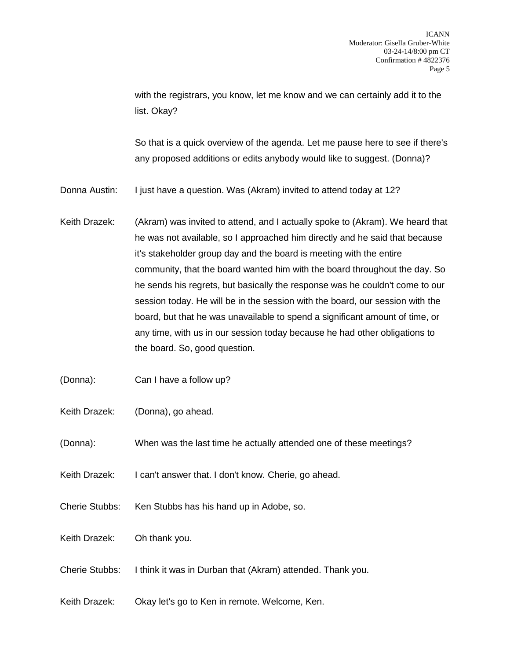with the registrars, you know, let me know and we can certainly add it to the list. Okay?

So that is a quick overview of the agenda. Let me pause here to see if there's any proposed additions or edits anybody would like to suggest. (Donna)?

- Donna Austin: I just have a question. Was (Akram) invited to attend today at 12?
- Keith Drazek: (Akram) was invited to attend, and I actually spoke to (Akram). We heard that he was not available, so I approached him directly and he said that because it's stakeholder group day and the board is meeting with the entire community, that the board wanted him with the board throughout the day. So he sends his regrets, but basically the response was he couldn't come to our session today. He will be in the session with the board, our session with the board, but that he was unavailable to spend a significant amount of time, or any time, with us in our session today because he had other obligations to the board. So, good question.
- (Donna): Can I have a follow up?
- Keith Drazek: (Donna), go ahead.
- (Donna): When was the last time he actually attended one of these meetings?
- Keith Drazek: I can't answer that. I don't know. Cherie, go ahead.
- Cherie Stubbs: Ken Stubbs has his hand up in Adobe, so.
- Keith Drazek: Oh thank you.
- Cherie Stubbs: I think it was in Durban that (Akram) attended. Thank you.
- Keith Drazek: Okay let's go to Ken in remote. Welcome, Ken.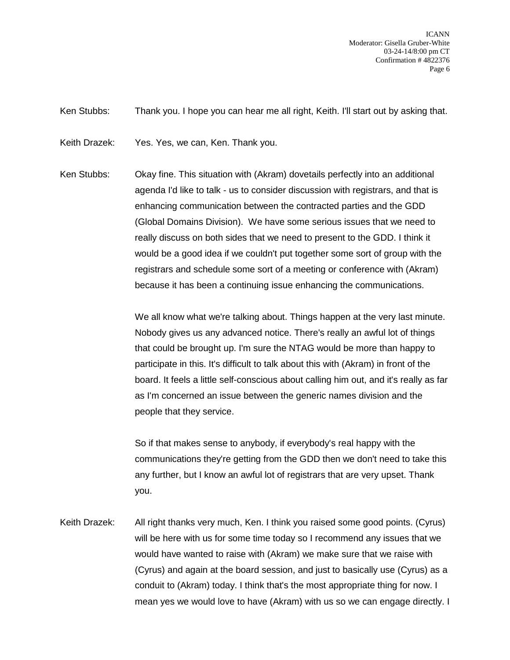ICANN Moderator: Gisella Gruber-White 03-24-14/8:00 pm CT Confirmation # 4822376 Page 6

Ken Stubbs: Thank you. I hope you can hear me all right, Keith. I'll start out by asking that.

Keith Drazek: Yes. Yes, we can, Ken. Thank you.

Ken Stubbs: Okay fine. This situation with (Akram) dovetails perfectly into an additional agenda I'd like to talk - us to consider discussion with registrars, and that is enhancing communication between the contracted parties and the GDD (Global Domains Division). We have some serious issues that we need to really discuss on both sides that we need to present to the GDD. I think it would be a good idea if we couldn't put together some sort of group with the registrars and schedule some sort of a meeting or conference with (Akram) because it has been a continuing issue enhancing the communications.

> We all know what we're talking about. Things happen at the very last minute. Nobody gives us any advanced notice. There's really an awful lot of things that could be brought up. I'm sure the NTAG would be more than happy to participate in this. It's difficult to talk about this with (Akram) in front of the board. It feels a little self-conscious about calling him out, and it's really as far as I'm concerned an issue between the generic names division and the people that they service.

> So if that makes sense to anybody, if everybody's real happy with the communications they're getting from the GDD then we don't need to take this any further, but I know an awful lot of registrars that are very upset. Thank you.

Keith Drazek: All right thanks very much, Ken. I think you raised some good points. (Cyrus) will be here with us for some time today so I recommend any issues that we would have wanted to raise with (Akram) we make sure that we raise with (Cyrus) and again at the board session, and just to basically use (Cyrus) as a conduit to (Akram) today. I think that's the most appropriate thing for now. I mean yes we would love to have (Akram) with us so we can engage directly. I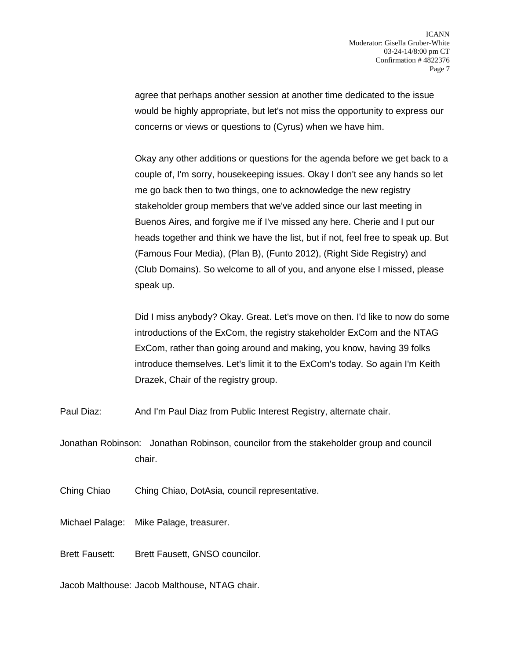agree that perhaps another session at another time dedicated to the issue would be highly appropriate, but let's not miss the opportunity to express our concerns or views or questions to (Cyrus) when we have him.

Okay any other additions or questions for the agenda before we get back to a couple of, I'm sorry, housekeeping issues. Okay I don't see any hands so let me go back then to two things, one to acknowledge the new registry stakeholder group members that we've added since our last meeting in Buenos Aires, and forgive me if I've missed any here. Cherie and I put our heads together and think we have the list, but if not, feel free to speak up. But (Famous Four Media), (Plan B), (Funto 2012), (Right Side Registry) and (Club Domains). So welcome to all of you, and anyone else I missed, please speak up.

Did I miss anybody? Okay. Great. Let's move on then. I'd like to now do some introductions of the ExCom, the registry stakeholder ExCom and the NTAG ExCom, rather than going around and making, you know, having 39 folks introduce themselves. Let's limit it to the ExCom's today. So again I'm Keith Drazek, Chair of the registry group.

Paul Diaz: And I'm Paul Diaz from Public Interest Registry, alternate chair.

Jonathan Robinson: Jonathan Robinson, councilor from the stakeholder group and council chair.

Ching Chiao Ching Chiao, DotAsia, council representative.

Michael Palage: Mike Palage, treasurer.

Brett Fausett: Brett Fausett, GNSO councilor.

Jacob Malthouse: Jacob Malthouse, NTAG chair.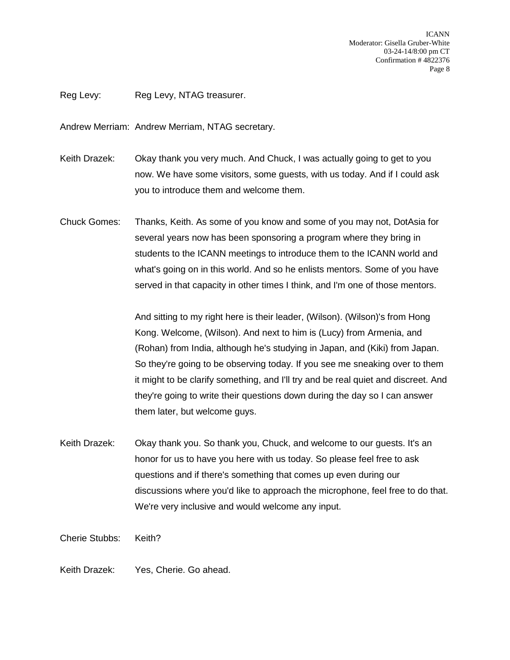ICANN Moderator: Gisella Gruber-White 03-24-14/8:00 pm CT Confirmation # 4822376 Page 8

Reg Levy: Reg Levy, NTAG treasurer.

Andrew Merriam: Andrew Merriam, NTAG secretary.

- Keith Drazek: Okay thank you very much. And Chuck, I was actually going to get to you now. We have some visitors, some guests, with us today. And if I could ask you to introduce them and welcome them.
- Chuck Gomes: Thanks, Keith. As some of you know and some of you may not, DotAsia for several years now has been sponsoring a program where they bring in students to the ICANN meetings to introduce them to the ICANN world and what's going on in this world. And so he enlists mentors. Some of you have served in that capacity in other times I think, and I'm one of those mentors.

And sitting to my right here is their leader, (Wilson). (Wilson)'s from Hong Kong. Welcome, (Wilson). And next to him is (Lucy) from Armenia, and (Rohan) from India, although he's studying in Japan, and (Kiki) from Japan. So they're going to be observing today. If you see me sneaking over to them it might to be clarify something, and I'll try and be real quiet and discreet. And they're going to write their questions down during the day so I can answer them later, but welcome guys.

Keith Drazek: Okay thank you. So thank you, Chuck, and welcome to our guests. It's an honor for us to have you here with us today. So please feel free to ask questions and if there's something that comes up even during our discussions where you'd like to approach the microphone, feel free to do that. We're very inclusive and would welcome any input.

Cherie Stubbs: Keith?

Keith Drazek: Yes, Cherie. Go ahead.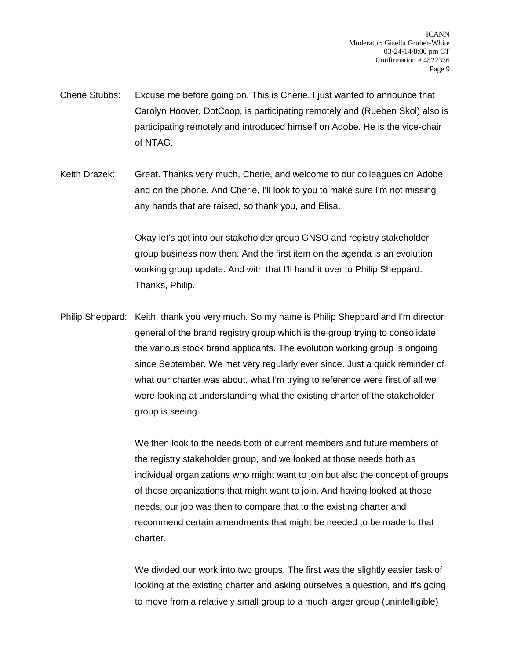- Cherie Stubbs: Excuse me before going on. This is Cherie. I just wanted to announce that Carolyn Hoover, DotCoop, is participating remotely and (Rueben Skol) also is participating remotely and introduced himself on Adobe. He is the vice-chair of NTAG.
- Keith Drazek: Great. Thanks very much, Cherie, and welcome to our colleagues on Adobe and on the phone. And Cherie, I'll look to you to make sure I'm not missing any hands that are raised, so thank you, and Elisa.

Okay let's get into our stakeholder group GNSO and registry stakeholder group business now then. And the first item on the agenda is an evolution working group update. And with that I'll hand it over to Philip Sheppard. Thanks, Philip.

Philip Sheppard: Keith, thank you very much. So my name is Philip Sheppard and I'm director general of the brand registry group which is the group trying to consolidate the various stock brand applicants. The evolution working group is ongoing since September. We met very regularly ever since. Just a quick reminder of what our charter was about, what I'm trying to reference were first of all we were looking at understanding what the existing charter of the stakeholder group is seeing.

> We then look to the needs both of current members and future members of the registry stakeholder group, and we looked at those needs both as individual organizations who might want to join but also the concept of groups of those organizations that might want to join. And having looked at those needs, our job was then to compare that to the existing charter and recommend certain amendments that might be needed to be made to that charter.

> We divided our work into two groups. The first was the slightly easier task of looking at the existing charter and asking ourselves a question, and it's going to move from a relatively small group to a much larger group (unintelligible)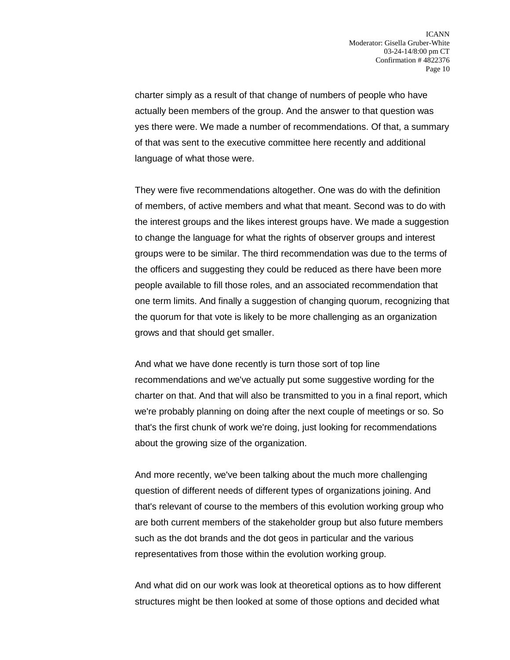charter simply as a result of that change of numbers of people who have actually been members of the group. And the answer to that question was yes there were. We made a number of recommendations. Of that, a summary of that was sent to the executive committee here recently and additional language of what those were.

They were five recommendations altogether. One was do with the definition of members, of active members and what that meant. Second was to do with the interest groups and the likes interest groups have. We made a suggestion to change the language for what the rights of observer groups and interest groups were to be similar. The third recommendation was due to the terms of the officers and suggesting they could be reduced as there have been more people available to fill those roles, and an associated recommendation that one term limits. And finally a suggestion of changing quorum, recognizing that the quorum for that vote is likely to be more challenging as an organization grows and that should get smaller.

And what we have done recently is turn those sort of top line recommendations and we've actually put some suggestive wording for the charter on that. And that will also be transmitted to you in a final report, which we're probably planning on doing after the next couple of meetings or so. So that's the first chunk of work we're doing, just looking for recommendations about the growing size of the organization.

And more recently, we've been talking about the much more challenging question of different needs of different types of organizations joining. And that's relevant of course to the members of this evolution working group who are both current members of the stakeholder group but also future members such as the dot brands and the dot geos in particular and the various representatives from those within the evolution working group.

And what did on our work was look at theoretical options as to how different structures might be then looked at some of those options and decided what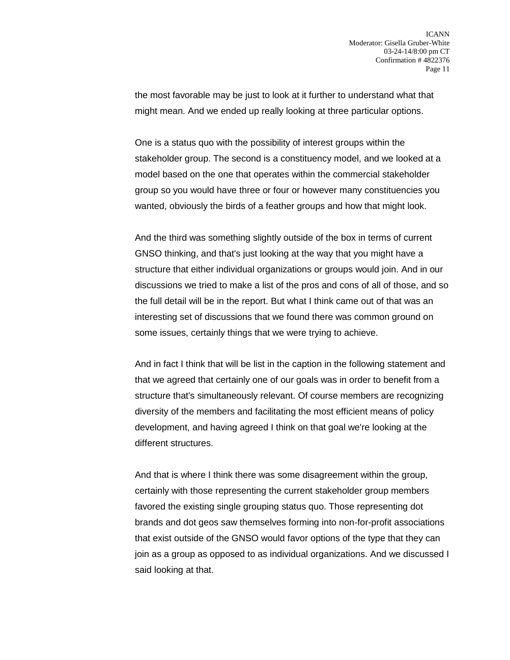the most favorable may be just to look at it further to understand what that might mean. And we ended up really looking at three particular options.

One is a status quo with the possibility of interest groups within the stakeholder group. The second is a constituency model, and we looked at a model based on the one that operates within the commercial stakeholder group so you would have three or four or however many constituencies you wanted, obviously the birds of a feather groups and how that might look.

And the third was something slightly outside of the box in terms of current GNSO thinking, and that's just looking at the way that you might have a structure that either individual organizations or groups would join. And in our discussions we tried to make a list of the pros and cons of all of those, and so the full detail will be in the report. But what I think came out of that was an interesting set of discussions that we found there was common ground on some issues, certainly things that we were trying to achieve.

And in fact I think that will be list in the caption in the following statement and that we agreed that certainly one of our goals was in order to benefit from a structure that's simultaneously relevant. Of course members are recognizing diversity of the members and facilitating the most efficient means of policy development, and having agreed I think on that goal we're looking at the different structures.

And that is where I think there was some disagreement within the group, certainly with those representing the current stakeholder group members favored the existing single grouping status quo. Those representing dot brands and dot geos saw themselves forming into non-for-profit associations that exist outside of the GNSO would favor options of the type that they can join as a group as opposed to as individual organizations. And we discussed I said looking at that.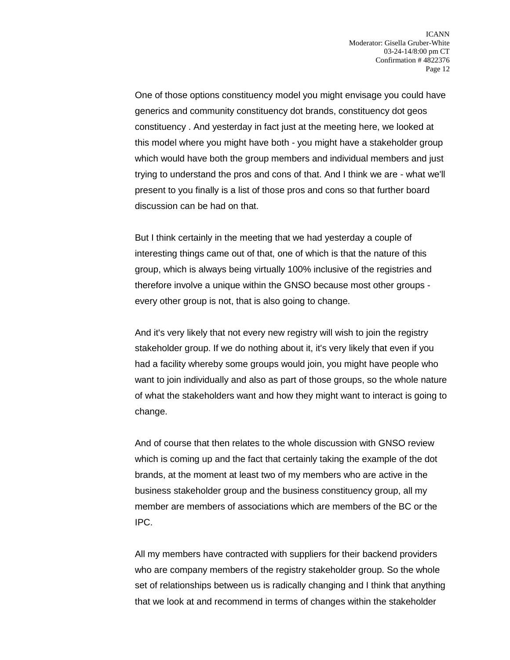One of those options constituency model you might envisage you could have generics and community constituency dot brands, constituency dot geos constituency . And yesterday in fact just at the meeting here, we looked at this model where you might have both - you might have a stakeholder group which would have both the group members and individual members and just trying to understand the pros and cons of that. And I think we are - what we'll present to you finally is a list of those pros and cons so that further board discussion can be had on that.

But I think certainly in the meeting that we had yesterday a couple of interesting things came out of that, one of which is that the nature of this group, which is always being virtually 100% inclusive of the registries and therefore involve a unique within the GNSO because most other groups every other group is not, that is also going to change.

And it's very likely that not every new registry will wish to join the registry stakeholder group. If we do nothing about it, it's very likely that even if you had a facility whereby some groups would join, you might have people who want to join individually and also as part of those groups, so the whole nature of what the stakeholders want and how they might want to interact is going to change.

And of course that then relates to the whole discussion with GNSO review which is coming up and the fact that certainly taking the example of the dot brands, at the moment at least two of my members who are active in the business stakeholder group and the business constituency group, all my member are members of associations which are members of the BC or the IPC.

All my members have contracted with suppliers for their backend providers who are company members of the registry stakeholder group. So the whole set of relationships between us is radically changing and I think that anything that we look at and recommend in terms of changes within the stakeholder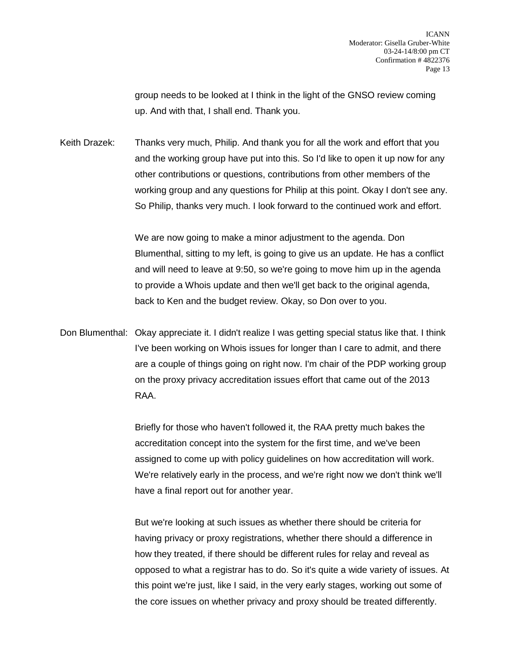group needs to be looked at I think in the light of the GNSO review coming up. And with that, I shall end. Thank you.

Keith Drazek: Thanks very much, Philip. And thank you for all the work and effort that you and the working group have put into this. So I'd like to open it up now for any other contributions or questions, contributions from other members of the working group and any questions for Philip at this point. Okay I don't see any. So Philip, thanks very much. I look forward to the continued work and effort.

> We are now going to make a minor adjustment to the agenda. Don Blumenthal, sitting to my left, is going to give us an update. He has a conflict and will need to leave at 9:50, so we're going to move him up in the agenda to provide a Whois update and then we'll get back to the original agenda, back to Ken and the budget review. Okay, so Don over to you.

Don Blumenthal: Okay appreciate it. I didn't realize I was getting special status like that. I think I've been working on Whois issues for longer than I care to admit, and there are a couple of things going on right now. I'm chair of the PDP working group on the proxy privacy accreditation issues effort that came out of the 2013 RAA.

> Briefly for those who haven't followed it, the RAA pretty much bakes the accreditation concept into the system for the first time, and we've been assigned to come up with policy guidelines on how accreditation will work. We're relatively early in the process, and we're right now we don't think we'll have a final report out for another year.

But we're looking at such issues as whether there should be criteria for having privacy or proxy registrations, whether there should a difference in how they treated, if there should be different rules for relay and reveal as opposed to what a registrar has to do. So it's quite a wide variety of issues. At this point we're just, like I said, in the very early stages, working out some of the core issues on whether privacy and proxy should be treated differently.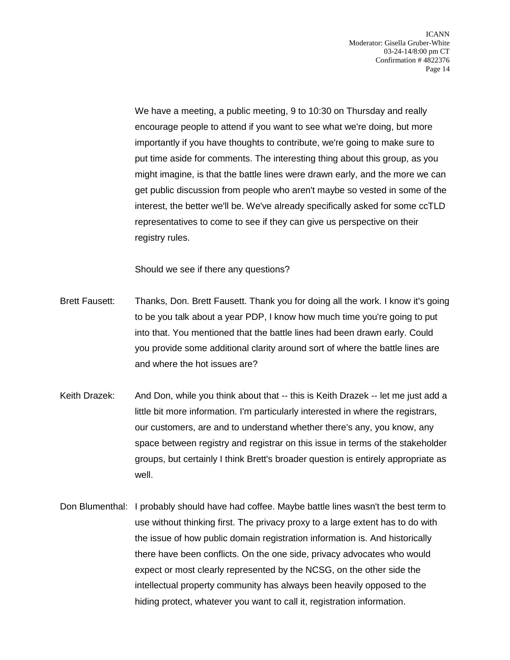We have a meeting, a public meeting, 9 to 10:30 on Thursday and really encourage people to attend if you want to see what we're doing, but more importantly if you have thoughts to contribute, we're going to make sure to put time aside for comments. The interesting thing about this group, as you might imagine, is that the battle lines were drawn early, and the more we can get public discussion from people who aren't maybe so vested in some of the interest, the better we'll be. We've already specifically asked for some ccTLD representatives to come to see if they can give us perspective on their registry rules.

Should we see if there any questions?

- Brett Fausett: Thanks, Don. Brett Fausett. Thank you for doing all the work. I know it's going to be you talk about a year PDP, I know how much time you're going to put into that. You mentioned that the battle lines had been drawn early. Could you provide some additional clarity around sort of where the battle lines are and where the hot issues are?
- Keith Drazek: And Don, while you think about that -- this is Keith Drazek -- let me just add a little bit more information. I'm particularly interested in where the registrars, our customers, are and to understand whether there's any, you know, any space between registry and registrar on this issue in terms of the stakeholder groups, but certainly I think Brett's broader question is entirely appropriate as well.
- Don Blumenthal: I probably should have had coffee. Maybe battle lines wasn't the best term to use without thinking first. The privacy proxy to a large extent has to do with the issue of how public domain registration information is. And historically there have been conflicts. On the one side, privacy advocates who would expect or most clearly represented by the NCSG, on the other side the intellectual property community has always been heavily opposed to the hiding protect, whatever you want to call it, registration information.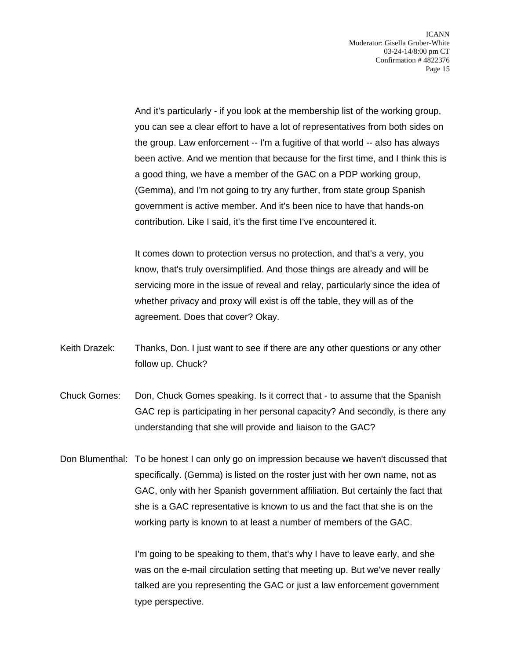And it's particularly - if you look at the membership list of the working group, you can see a clear effort to have a lot of representatives from both sides on the group. Law enforcement -- I'm a fugitive of that world -- also has always been active. And we mention that because for the first time, and I think this is a good thing, we have a member of the GAC on a PDP working group, (Gemma), and I'm not going to try any further, from state group Spanish government is active member. And it's been nice to have that hands-on contribution. Like I said, it's the first time I've encountered it.

It comes down to protection versus no protection, and that's a very, you know, that's truly oversimplified. And those things are already and will be servicing more in the issue of reveal and relay, particularly since the idea of whether privacy and proxy will exist is off the table, they will as of the agreement. Does that cover? Okay.

- Keith Drazek: Thanks, Don. I just want to see if there are any other questions or any other follow up. Chuck?
- Chuck Gomes: Don, Chuck Gomes speaking. Is it correct that to assume that the Spanish GAC rep is participating in her personal capacity? And secondly, is there any understanding that she will provide and liaison to the GAC?
- Don Blumenthal: To be honest I can only go on impression because we haven't discussed that specifically. (Gemma) is listed on the roster just with her own name, not as GAC, only with her Spanish government affiliation. But certainly the fact that she is a GAC representative is known to us and the fact that she is on the working party is known to at least a number of members of the GAC.

I'm going to be speaking to them, that's why I have to leave early, and she was on the e-mail circulation setting that meeting up. But we've never really talked are you representing the GAC or just a law enforcement government type perspective.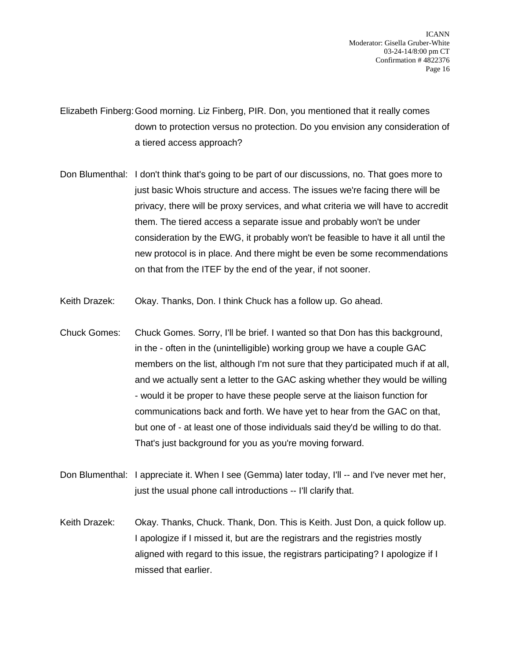ICANN Moderator: Gisella Gruber-White 03-24-14/8:00 pm CT Confirmation # 4822376 Page 16

Elizabeth Finberg:Good morning. Liz Finberg, PIR. Don, you mentioned that it really comes down to protection versus no protection. Do you envision any consideration of a tiered access approach?

- Don Blumenthal: I don't think that's going to be part of our discussions, no. That goes more to just basic Whois structure and access. The issues we're facing there will be privacy, there will be proxy services, and what criteria we will have to accredit them. The tiered access a separate issue and probably won't be under consideration by the EWG, it probably won't be feasible to have it all until the new protocol is in place. And there might be even be some recommendations on that from the ITEF by the end of the year, if not sooner.
- Keith Drazek: Okay. Thanks, Don. I think Chuck has a follow up. Go ahead.
- Chuck Gomes: Chuck Gomes. Sorry, I'll be brief. I wanted so that Don has this background, in the - often in the (unintelligible) working group we have a couple GAC members on the list, although I'm not sure that they participated much if at all, and we actually sent a letter to the GAC asking whether they would be willing - would it be proper to have these people serve at the liaison function for communications back and forth. We have yet to hear from the GAC on that, but one of - at least one of those individuals said they'd be willing to do that. That's just background for you as you're moving forward.
- Don Blumenthal: I appreciate it. When I see (Gemma) later today, I'll -- and I've never met her, just the usual phone call introductions -- I'll clarify that.
- Keith Drazek: Okay. Thanks, Chuck. Thank, Don. This is Keith. Just Don, a quick follow up. I apologize if I missed it, but are the registrars and the registries mostly aligned with regard to this issue, the registrars participating? I apologize if I missed that earlier.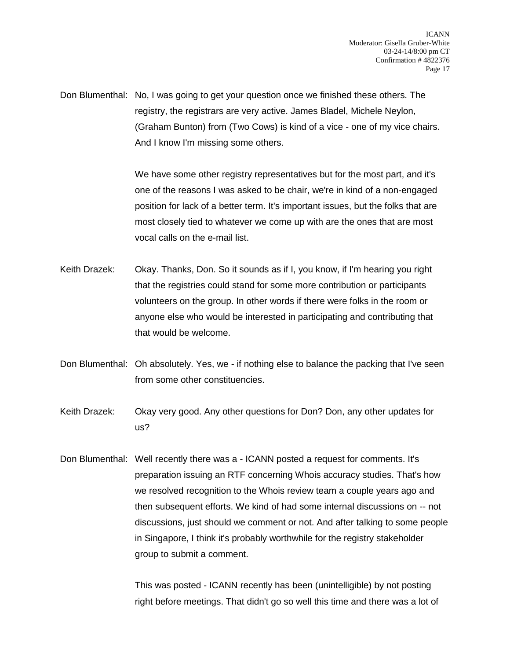Don Blumenthal: No, I was going to get your question once we finished these others. The registry, the registrars are very active. James Bladel, Michele Neylon, (Graham Bunton) from (Two Cows) is kind of a vice - one of my vice chairs. And I know I'm missing some others.

> We have some other registry representatives but for the most part, and it's one of the reasons I was asked to be chair, we're in kind of a non-engaged position for lack of a better term. It's important issues, but the folks that are most closely tied to whatever we come up with are the ones that are most vocal calls on the e-mail list.

- Keith Drazek: Okay. Thanks, Don. So it sounds as if I, you know, if I'm hearing you right that the registries could stand for some more contribution or participants volunteers on the group. In other words if there were folks in the room or anyone else who would be interested in participating and contributing that that would be welcome.
- Don Blumenthal: Oh absolutely. Yes, we if nothing else to balance the packing that I've seen from some other constituencies.
- Keith Drazek: Okay very good. Any other questions for Don? Don, any other updates for us?
- Don Blumenthal: Well recently there was a ICANN posted a request for comments. It's preparation issuing an RTF concerning Whois accuracy studies. That's how we resolved recognition to the Whois review team a couple years ago and then subsequent efforts. We kind of had some internal discussions on -- not discussions, just should we comment or not. And after talking to some people in Singapore, I think it's probably worthwhile for the registry stakeholder group to submit a comment.

This was posted - ICANN recently has been (unintelligible) by not posting right before meetings. That didn't go so well this time and there was a lot of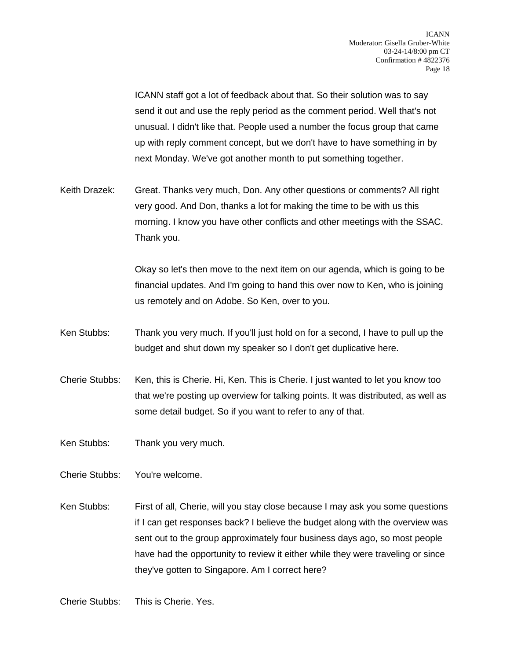ICANN staff got a lot of feedback about that. So their solution was to say send it out and use the reply period as the comment period. Well that's not unusual. I didn't like that. People used a number the focus group that came up with reply comment concept, but we don't have to have something in by next Monday. We've got another month to put something together.

Keith Drazek: Great. Thanks very much, Don. Any other questions or comments? All right very good. And Don, thanks a lot for making the time to be with us this morning. I know you have other conflicts and other meetings with the SSAC. Thank you.

> Okay so let's then move to the next item on our agenda, which is going to be financial updates. And I'm going to hand this over now to Ken, who is joining us remotely and on Adobe. So Ken, over to you.

- Ken Stubbs: Thank you very much. If you'll just hold on for a second, I have to pull up the budget and shut down my speaker so I don't get duplicative here.
- Cherie Stubbs: Ken, this is Cherie. Hi, Ken. This is Cherie. I just wanted to let you know too that we're posting up overview for talking points. It was distributed, as well as some detail budget. So if you want to refer to any of that.

Ken Stubbs: Thank you very much.

- Cherie Stubbs: You're welcome.
- Ken Stubbs: First of all, Cherie, will you stay close because I may ask you some questions if I can get responses back? I believe the budget along with the overview was sent out to the group approximately four business days ago, so most people have had the opportunity to review it either while they were traveling or since they've gotten to Singapore. Am I correct here?

Cherie Stubbs: This is Cherie. Yes.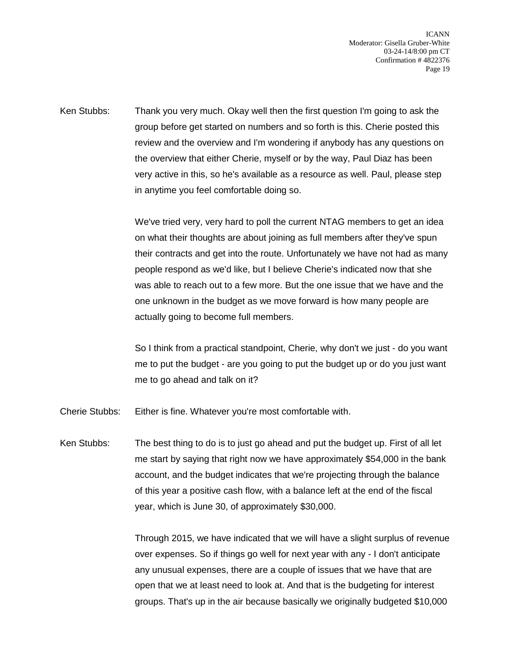ICANN Moderator: Gisella Gruber-White 03-24-14/8:00 pm CT Confirmation # 4822376 Page 19

Ken Stubbs: Thank you very much. Okay well then the first question I'm going to ask the group before get started on numbers and so forth is this. Cherie posted this review and the overview and I'm wondering if anybody has any questions on the overview that either Cherie, myself or by the way, Paul Diaz has been very active in this, so he's available as a resource as well. Paul, please step in anytime you feel comfortable doing so.

> We've tried very, very hard to poll the current NTAG members to get an idea on what their thoughts are about joining as full members after they've spun their contracts and get into the route. Unfortunately we have not had as many people respond as we'd like, but I believe Cherie's indicated now that she was able to reach out to a few more. But the one issue that we have and the one unknown in the budget as we move forward is how many people are actually going to become full members.

> So I think from a practical standpoint, Cherie, why don't we just - do you want me to put the budget - are you going to put the budget up or do you just want me to go ahead and talk on it?

Cherie Stubbs: Either is fine. Whatever you're most comfortable with.

Ken Stubbs: The best thing to do is to just go ahead and put the budget up. First of all let me start by saying that right now we have approximately \$54,000 in the bank account, and the budget indicates that we're projecting through the balance of this year a positive cash flow, with a balance left at the end of the fiscal year, which is June 30, of approximately \$30,000.

> Through 2015, we have indicated that we will have a slight surplus of revenue over expenses. So if things go well for next year with any - I don't anticipate any unusual expenses, there are a couple of issues that we have that are open that we at least need to look at. And that is the budgeting for interest groups. That's up in the air because basically we originally budgeted \$10,000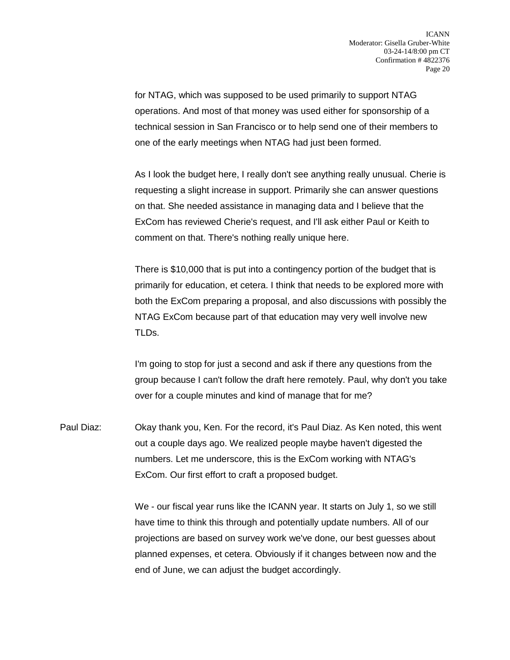for NTAG, which was supposed to be used primarily to support NTAG operations. And most of that money was used either for sponsorship of a technical session in San Francisco or to help send one of their members to one of the early meetings when NTAG had just been formed.

As I look the budget here, I really don't see anything really unusual. Cherie is requesting a slight increase in support. Primarily she can answer questions on that. She needed assistance in managing data and I believe that the ExCom has reviewed Cherie's request, and I'll ask either Paul or Keith to comment on that. There's nothing really unique here.

There is \$10,000 that is put into a contingency portion of the budget that is primarily for education, et cetera. I think that needs to be explored more with both the ExCom preparing a proposal, and also discussions with possibly the NTAG ExCom because part of that education may very well involve new TLDs.

I'm going to stop for just a second and ask if there any questions from the group because I can't follow the draft here remotely. Paul, why don't you take over for a couple minutes and kind of manage that for me?

Paul Diaz: Okay thank you, Ken. For the record, it's Paul Diaz. As Ken noted, this went out a couple days ago. We realized people maybe haven't digested the numbers. Let me underscore, this is the ExCom working with NTAG's ExCom. Our first effort to craft a proposed budget.

> We - our fiscal year runs like the ICANN year. It starts on July 1, so we still have time to think this through and potentially update numbers. All of our projections are based on survey work we've done, our best guesses about planned expenses, et cetera. Obviously if it changes between now and the end of June, we can adjust the budget accordingly.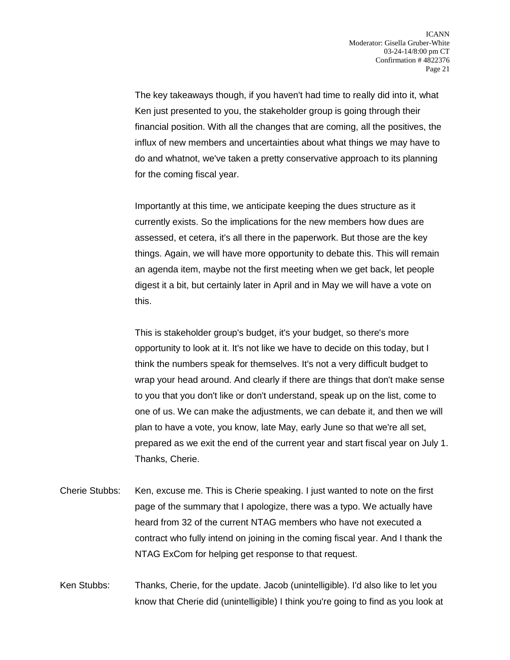The key takeaways though, if you haven't had time to really did into it, what Ken just presented to you, the stakeholder group is going through their financial position. With all the changes that are coming, all the positives, the influx of new members and uncertainties about what things we may have to do and whatnot, we've taken a pretty conservative approach to its planning for the coming fiscal year.

Importantly at this time, we anticipate keeping the dues structure as it currently exists. So the implications for the new members how dues are assessed, et cetera, it's all there in the paperwork. But those are the key things. Again, we will have more opportunity to debate this. This will remain an agenda item, maybe not the first meeting when we get back, let people digest it a bit, but certainly later in April and in May we will have a vote on this.

This is stakeholder group's budget, it's your budget, so there's more opportunity to look at it. It's not like we have to decide on this today, but I think the numbers speak for themselves. It's not a very difficult budget to wrap your head around. And clearly if there are things that don't make sense to you that you don't like or don't understand, speak up on the list, come to one of us. We can make the adjustments, we can debate it, and then we will plan to have a vote, you know, late May, early June so that we're all set, prepared as we exit the end of the current year and start fiscal year on July 1. Thanks, Cherie.

Cherie Stubbs: Ken, excuse me. This is Cherie speaking. I just wanted to note on the first page of the summary that I apologize, there was a typo. We actually have heard from 32 of the current NTAG members who have not executed a contract who fully intend on joining in the coming fiscal year. And I thank the NTAG ExCom for helping get response to that request.

Ken Stubbs: Thanks, Cherie, for the update. Jacob (unintelligible). I'd also like to let you know that Cherie did (unintelligible) I think you're going to find as you look at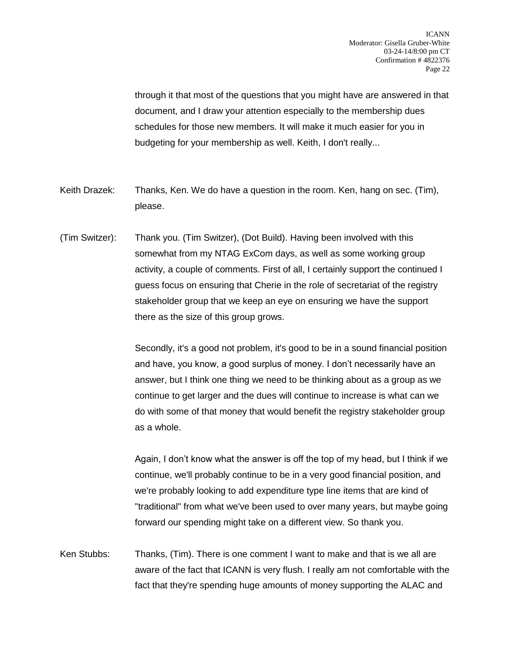through it that most of the questions that you might have are answered in that document, and I draw your attention especially to the membership dues schedules for those new members. It will make it much easier for you in budgeting for your membership as well. Keith, I don't really...

- Keith Drazek: Thanks, Ken. We do have a question in the room. Ken, hang on sec. (Tim), please.
- (Tim Switzer): Thank you. (Tim Switzer), (Dot Build). Having been involved with this somewhat from my NTAG ExCom days, as well as some working group activity, a couple of comments. First of all, I certainly support the continued I guess focus on ensuring that Cherie in the role of secretariat of the registry stakeholder group that we keep an eye on ensuring we have the support there as the size of this group grows.

Secondly, it's a good not problem, it's good to be in a sound financial position and have, you know, a good surplus of money. I don't necessarily have an answer, but I think one thing we need to be thinking about as a group as we continue to get larger and the dues will continue to increase is what can we do with some of that money that would benefit the registry stakeholder group as a whole.

Again, I don't know what the answer is off the top of my head, but I think if we continue, we'll probably continue to be in a very good financial position, and we're probably looking to add expenditure type line items that are kind of "traditional" from what we've been used to over many years, but maybe going forward our spending might take on a different view. So thank you.

Ken Stubbs: Thanks, (Tim). There is one comment I want to make and that is we all are aware of the fact that ICANN is very flush. I really am not comfortable with the fact that they're spending huge amounts of money supporting the ALAC and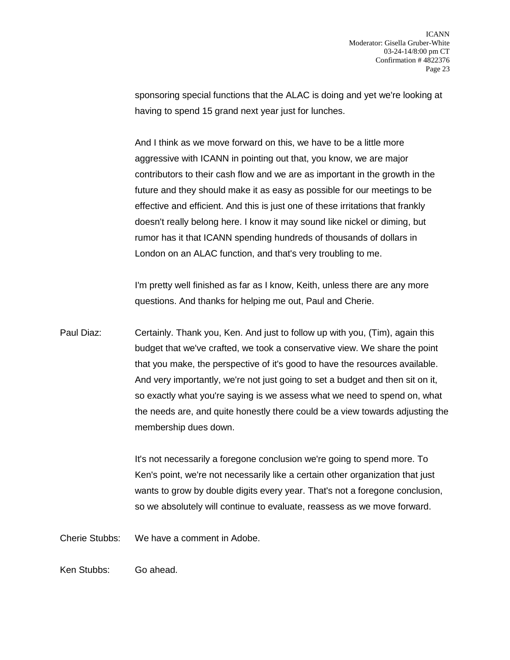sponsoring special functions that the ALAC is doing and yet we're looking at having to spend 15 grand next year just for lunches.

And I think as we move forward on this, we have to be a little more aggressive with ICANN in pointing out that, you know, we are major contributors to their cash flow and we are as important in the growth in the future and they should make it as easy as possible for our meetings to be effective and efficient. And this is just one of these irritations that frankly doesn't really belong here. I know it may sound like nickel or diming, but rumor has it that ICANN spending hundreds of thousands of dollars in London on an ALAC function, and that's very troubling to me.

I'm pretty well finished as far as I know, Keith, unless there are any more questions. And thanks for helping me out, Paul and Cherie.

Paul Diaz: Certainly. Thank you, Ken. And just to follow up with you, (Tim), again this budget that we've crafted, we took a conservative view. We share the point that you make, the perspective of it's good to have the resources available. And very importantly, we're not just going to set a budget and then sit on it, so exactly what you're saying is we assess what we need to spend on, what the needs are, and quite honestly there could be a view towards adjusting the membership dues down.

> It's not necessarily a foregone conclusion we're going to spend more. To Ken's point, we're not necessarily like a certain other organization that just wants to grow by double digits every year. That's not a foregone conclusion, so we absolutely will continue to evaluate, reassess as we move forward.

Cherie Stubbs: We have a comment in Adobe.

Ken Stubbs: Go ahead.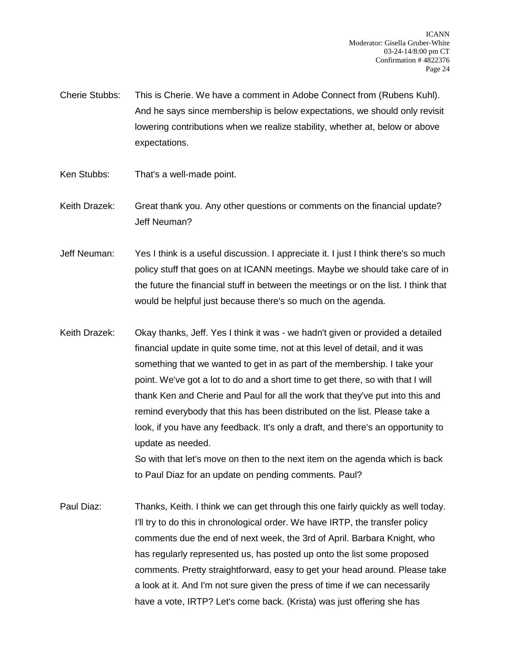Cherie Stubbs: This is Cherie. We have a comment in Adobe Connect from (Rubens Kuhl). And he says since membership is below expectations, we should only revisit lowering contributions when we realize stability, whether at, below or above expectations.

- Ken Stubbs: That's a well-made point.
- Keith Drazek: Great thank you. Any other questions or comments on the financial update? Jeff Neuman?

Jeff Neuman: Yes I think is a useful discussion. I appreciate it. I just I think there's so much policy stuff that goes on at ICANN meetings. Maybe we should take care of in the future the financial stuff in between the meetings or on the list. I think that would be helpful just because there's so much on the agenda.

Keith Drazek: Okay thanks, Jeff. Yes I think it was - we hadn't given or provided a detailed financial update in quite some time, not at this level of detail, and it was something that we wanted to get in as part of the membership. I take your point. We've got a lot to do and a short time to get there, so with that I will thank Ken and Cherie and Paul for all the work that they've put into this and remind everybody that this has been distributed on the list. Please take a look, if you have any feedback. It's only a draft, and there's an opportunity to update as needed.

So with that let's move on then to the next item on the agenda which is back to Paul Diaz for an update on pending comments. Paul?

Paul Diaz: Thanks, Keith. I think we can get through this one fairly quickly as well today. I'll try to do this in chronological order. We have IRTP, the transfer policy comments due the end of next week, the 3rd of April. Barbara Knight, who has regularly represented us, has posted up onto the list some proposed comments. Pretty straightforward, easy to get your head around. Please take a look at it. And I'm not sure given the press of time if we can necessarily have a vote, IRTP? Let's come back. (Krista) was just offering she has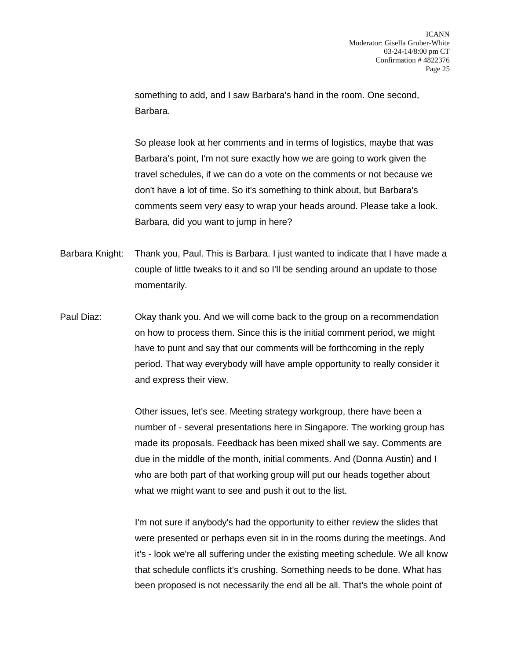something to add, and I saw Barbara's hand in the room. One second, Barbara.

So please look at her comments and in terms of logistics, maybe that was Barbara's point, I'm not sure exactly how we are going to work given the travel schedules, if we can do a vote on the comments or not because we don't have a lot of time. So it's something to think about, but Barbara's comments seem very easy to wrap your heads around. Please take a look. Barbara, did you want to jump in here?

Barbara Knight: Thank you, Paul. This is Barbara. I just wanted to indicate that I have made a couple of little tweaks to it and so I'll be sending around an update to those momentarily.

Paul Diaz: Okay thank you. And we will come back to the group on a recommendation on how to process them. Since this is the initial comment period, we might have to punt and say that our comments will be forthcoming in the reply period. That way everybody will have ample opportunity to really consider it and express their view.

> Other issues, let's see. Meeting strategy workgroup, there have been a number of - several presentations here in Singapore. The working group has made its proposals. Feedback has been mixed shall we say. Comments are due in the middle of the month, initial comments. And (Donna Austin) and I who are both part of that working group will put our heads together about what we might want to see and push it out to the list.

> I'm not sure if anybody's had the opportunity to either review the slides that were presented or perhaps even sit in in the rooms during the meetings. And it's - look we're all suffering under the existing meeting schedule. We all know that schedule conflicts it's crushing. Something needs to be done. What has been proposed is not necessarily the end all be all. That's the whole point of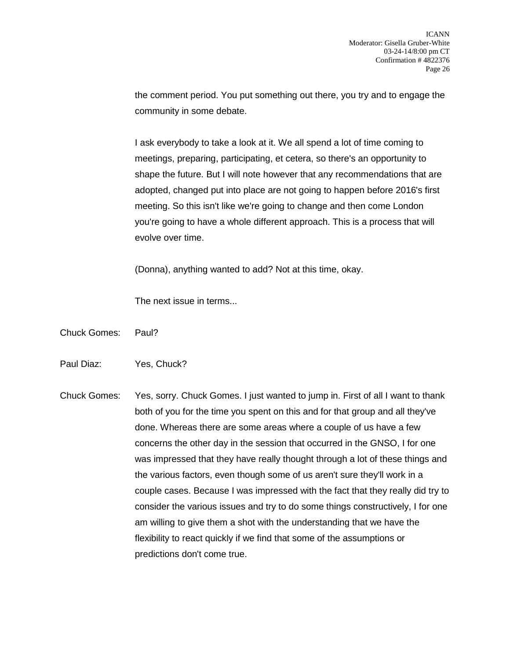the comment period. You put something out there, you try and to engage the community in some debate.

I ask everybody to take a look at it. We all spend a lot of time coming to meetings, preparing, participating, et cetera, so there's an opportunity to shape the future. But I will note however that any recommendations that are adopted, changed put into place are not going to happen before 2016's first meeting. So this isn't like we're going to change and then come London you're going to have a whole different approach. This is a process that will evolve over time.

(Donna), anything wanted to add? Not at this time, okay.

The next issue in terms...

- Chuck Gomes: Paul?
- Paul Diaz: Yes, Chuck?
- Chuck Gomes: Yes, sorry. Chuck Gomes. I just wanted to jump in. First of all I want to thank both of you for the time you spent on this and for that group and all they've done. Whereas there are some areas where a couple of us have a few concerns the other day in the session that occurred in the GNSO, I for one was impressed that they have really thought through a lot of these things and the various factors, even though some of us aren't sure they'll work in a couple cases. Because I was impressed with the fact that they really did try to consider the various issues and try to do some things constructively, I for one am willing to give them a shot with the understanding that we have the flexibility to react quickly if we find that some of the assumptions or predictions don't come true.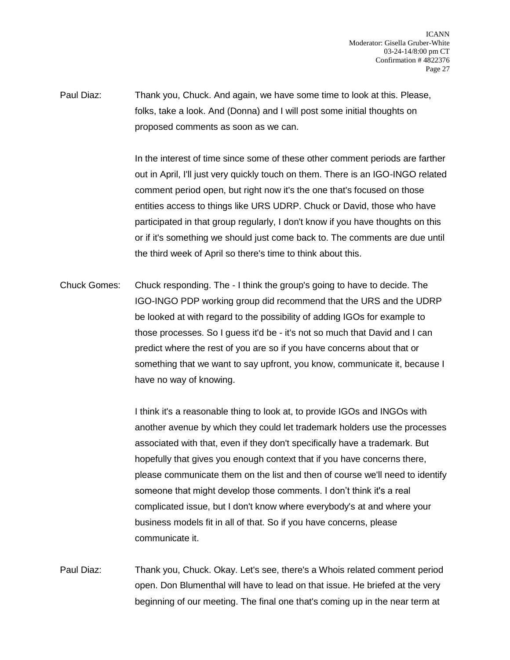Paul Diaz: Thank you, Chuck. And again, we have some time to look at this. Please, folks, take a look. And (Donna) and I will post some initial thoughts on proposed comments as soon as we can.

> In the interest of time since some of these other comment periods are farther out in April, I'll just very quickly touch on them. There is an IGO-INGO related comment period open, but right now it's the one that's focused on those entities access to things like URS UDRP. Chuck or David, those who have participated in that group regularly, I don't know if you have thoughts on this or if it's something we should just come back to. The comments are due until the third week of April so there's time to think about this.

Chuck Gomes: Chuck responding. The - I think the group's going to have to decide. The IGO-INGO PDP working group did recommend that the URS and the UDRP be looked at with regard to the possibility of adding IGOs for example to those processes. So I guess it'd be - it's not so much that David and I can predict where the rest of you are so if you have concerns about that or something that we want to say upfront, you know, communicate it, because I have no way of knowing.

> I think it's a reasonable thing to look at, to provide IGOs and INGOs with another avenue by which they could let trademark holders use the processes associated with that, even if they don't specifically have a trademark. But hopefully that gives you enough context that if you have concerns there, please communicate them on the list and then of course we'll need to identify someone that might develop those comments. I don't think it's a real complicated issue, but I don't know where everybody's at and where your business models fit in all of that. So if you have concerns, please communicate it.

Paul Diaz: Thank you, Chuck. Okay. Let's see, there's a Whois related comment period open. Don Blumenthal will have to lead on that issue. He briefed at the very beginning of our meeting. The final one that's coming up in the near term at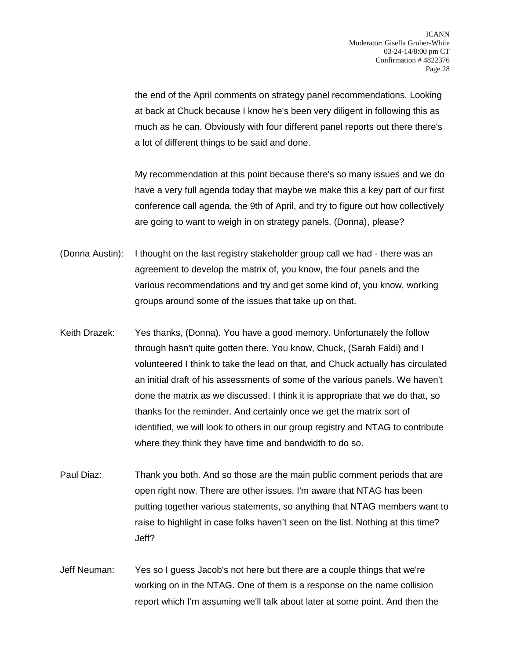the end of the April comments on strategy panel recommendations. Looking at back at Chuck because I know he's been very diligent in following this as much as he can. Obviously with four different panel reports out there there's a lot of different things to be said and done.

My recommendation at this point because there's so many issues and we do have a very full agenda today that maybe we make this a key part of our first conference call agenda, the 9th of April, and try to figure out how collectively are going to want to weigh in on strategy panels. (Donna), please?

- (Donna Austin): I thought on the last registry stakeholder group call we had there was an agreement to develop the matrix of, you know, the four panels and the various recommendations and try and get some kind of, you know, working groups around some of the issues that take up on that.
- Keith Drazek: Yes thanks, (Donna). You have a good memory. Unfortunately the follow through hasn't quite gotten there. You know, Chuck, (Sarah Faldi) and I volunteered I think to take the lead on that, and Chuck actually has circulated an initial draft of his assessments of some of the various panels. We haven't done the matrix as we discussed. I think it is appropriate that we do that, so thanks for the reminder. And certainly once we get the matrix sort of identified, we will look to others in our group registry and NTAG to contribute where they think they have time and bandwidth to do so.
- Paul Diaz: Thank you both. And so those are the main public comment periods that are open right now. There are other issues. I'm aware that NTAG has been putting together various statements, so anything that NTAG members want to raise to highlight in case folks haven't seen on the list. Nothing at this time? Jeff?
- Jeff Neuman: Yes so I guess Jacob's not here but there are a couple things that we're working on in the NTAG. One of them is a response on the name collision report which I'm assuming we'll talk about later at some point. And then the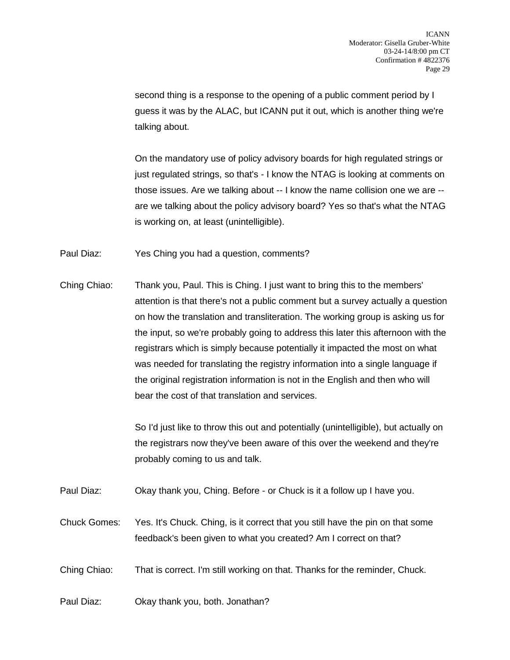second thing is a response to the opening of a public comment period by I guess it was by the ALAC, but ICANN put it out, which is another thing we're talking about.

On the mandatory use of policy advisory boards for high regulated strings or just regulated strings, so that's - I know the NTAG is looking at comments on those issues. Are we talking about -- I know the name collision one we are - are we talking about the policy advisory board? Yes so that's what the NTAG is working on, at least (unintelligible).

Paul Diaz: Yes Ching you had a question, comments?

Ching Chiao: Thank you, Paul. This is Ching. I just want to bring this to the members' attention is that there's not a public comment but a survey actually a question on how the translation and transliteration. The working group is asking us for the input, so we're probably going to address this later this afternoon with the registrars which is simply because potentially it impacted the most on what was needed for translating the registry information into a single language if the original registration information is not in the English and then who will bear the cost of that translation and services.

> So I'd just like to throw this out and potentially (unintelligible), but actually on the registrars now they've been aware of this over the weekend and they're probably coming to us and talk.

Paul Diaz: Okay thank you, Ching. Before - or Chuck is it a follow up I have you.

Chuck Gomes: Yes. It's Chuck. Ching, is it correct that you still have the pin on that some feedback's been given to what you created? Am I correct on that?

Ching Chiao: That is correct. I'm still working on that. Thanks for the reminder, Chuck.

Paul Diaz: Okay thank you, both. Jonathan?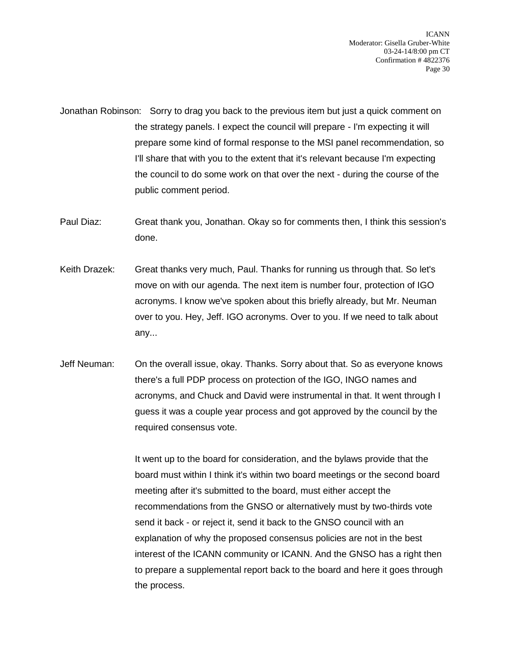Jonathan Robinson: Sorry to drag you back to the previous item but just a quick comment on the strategy panels. I expect the council will prepare - I'm expecting it will prepare some kind of formal response to the MSI panel recommendation, so I'll share that with you to the extent that it's relevant because I'm expecting the council to do some work on that over the next - during the course of the public comment period.

Paul Diaz: Great thank you, Jonathan. Okay so for comments then, I think this session's done.

- Keith Drazek: Great thanks very much, Paul. Thanks for running us through that. So let's move on with our agenda. The next item is number four, protection of IGO acronyms. I know we've spoken about this briefly already, but Mr. Neuman over to you. Hey, Jeff. IGO acronyms. Over to you. If we need to talk about any...
- Jeff Neuman: On the overall issue, okay. Thanks. Sorry about that. So as everyone knows there's a full PDP process on protection of the IGO, INGO names and acronyms, and Chuck and David were instrumental in that. It went through I guess it was a couple year process and got approved by the council by the required consensus vote.

It went up to the board for consideration, and the bylaws provide that the board must within I think it's within two board meetings or the second board meeting after it's submitted to the board, must either accept the recommendations from the GNSO or alternatively must by two-thirds vote send it back - or reject it, send it back to the GNSO council with an explanation of why the proposed consensus policies are not in the best interest of the ICANN community or ICANN. And the GNSO has a right then to prepare a supplemental report back to the board and here it goes through the process.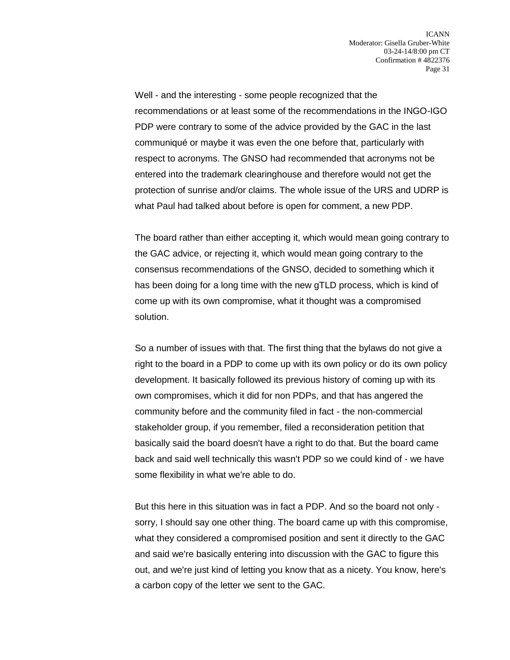Well - and the interesting - some people recognized that the recommendations or at least some of the recommendations in the INGO-IGO PDP were contrary to some of the advice provided by the GAC in the last communiqué or maybe it was even the one before that, particularly with respect to acronyms. The GNSO had recommended that acronyms not be entered into the trademark clearinghouse and therefore would not get the protection of sunrise and/or claims. The whole issue of the URS and UDRP is what Paul had talked about before is open for comment, a new PDP.

The board rather than either accepting it, which would mean going contrary to the GAC advice, or rejecting it, which would mean going contrary to the consensus recommendations of the GNSO, decided to something which it has been doing for a long time with the new gTLD process, which is kind of come up with its own compromise, what it thought was a compromised solution.

So a number of issues with that. The first thing that the bylaws do not give a right to the board in a PDP to come up with its own policy or do its own policy development. It basically followed its previous history of coming up with its own compromises, which it did for non PDPs, and that has angered the community before and the community filed in fact - the non-commercial stakeholder group, if you remember, filed a reconsideration petition that basically said the board doesn't have a right to do that. But the board came back and said well technically this wasn't PDP so we could kind of - we have some flexibility in what we're able to do.

But this here in this situation was in fact a PDP. And so the board not only sorry, I should say one other thing. The board came up with this compromise, what they considered a compromised position and sent it directly to the GAC and said we're basically entering into discussion with the GAC to figure this out, and we're just kind of letting you know that as a nicety. You know, here's a carbon copy of the letter we sent to the GAC.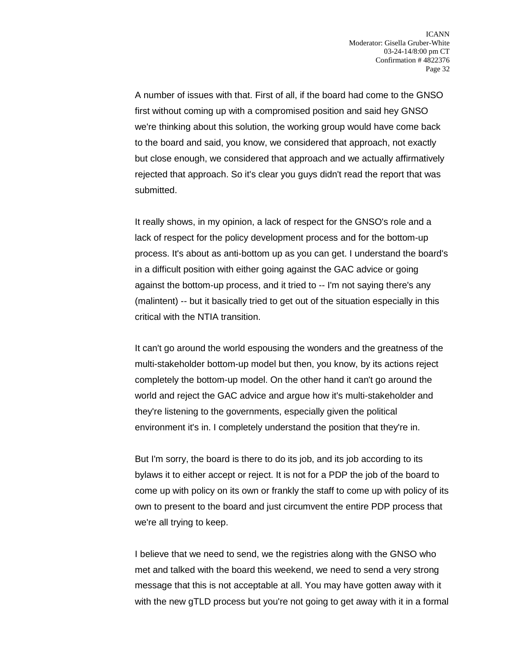A number of issues with that. First of all, if the board had come to the GNSO first without coming up with a compromised position and said hey GNSO we're thinking about this solution, the working group would have come back to the board and said, you know, we considered that approach, not exactly but close enough, we considered that approach and we actually affirmatively rejected that approach. So it's clear you guys didn't read the report that was submitted.

It really shows, in my opinion, a lack of respect for the GNSO's role and a lack of respect for the policy development process and for the bottom-up process. It's about as anti-bottom up as you can get. I understand the board's in a difficult position with either going against the GAC advice or going against the bottom-up process, and it tried to -- I'm not saying there's any (malintent) -- but it basically tried to get out of the situation especially in this critical with the NTIA transition.

It can't go around the world espousing the wonders and the greatness of the multi-stakeholder bottom-up model but then, you know, by its actions reject completely the bottom-up model. On the other hand it can't go around the world and reject the GAC advice and argue how it's multi-stakeholder and they're listening to the governments, especially given the political environment it's in. I completely understand the position that they're in.

But I'm sorry, the board is there to do its job, and its job according to its bylaws it to either accept or reject. It is not for a PDP the job of the board to come up with policy on its own or frankly the staff to come up with policy of its own to present to the board and just circumvent the entire PDP process that we're all trying to keep.

I believe that we need to send, we the registries along with the GNSO who met and talked with the board this weekend, we need to send a very strong message that this is not acceptable at all. You may have gotten away with it with the new gTLD process but you're not going to get away with it in a formal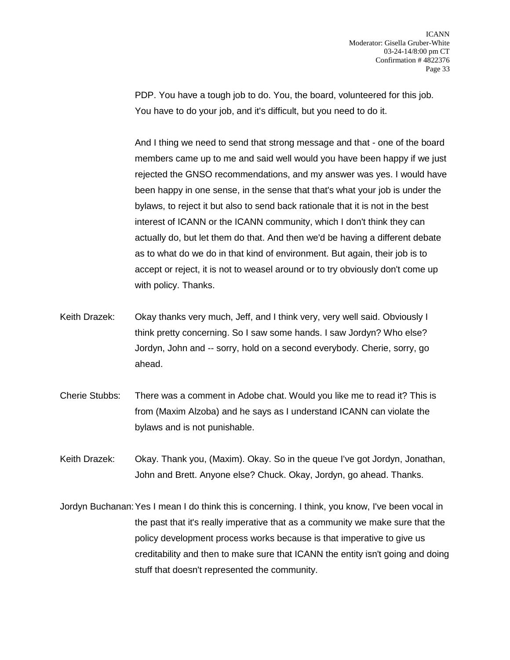PDP. You have a tough job to do. You, the board, volunteered for this job. You have to do your job, and it's difficult, but you need to do it.

And I thing we need to send that strong message and that - one of the board members came up to me and said well would you have been happy if we just rejected the GNSO recommendations, and my answer was yes. I would have been happy in one sense, in the sense that that's what your job is under the bylaws, to reject it but also to send back rationale that it is not in the best interest of ICANN or the ICANN community, which I don't think they can actually do, but let them do that. And then we'd be having a different debate as to what do we do in that kind of environment. But again, their job is to accept or reject, it is not to weasel around or to try obviously don't come up with policy. Thanks.

- Keith Drazek: Okay thanks very much, Jeff, and I think very, very well said. Obviously I think pretty concerning. So I saw some hands. I saw Jordyn? Who else? Jordyn, John and -- sorry, hold on a second everybody. Cherie, sorry, go ahead.
- Cherie Stubbs: There was a comment in Adobe chat. Would you like me to read it? This is from (Maxim Alzoba) and he says as I understand ICANN can violate the bylaws and is not punishable.

Keith Drazek: Okay. Thank you, (Maxim). Okay. So in the queue I've got Jordyn, Jonathan, John and Brett. Anyone else? Chuck. Okay, Jordyn, go ahead. Thanks.

Jordyn Buchanan:Yes I mean I do think this is concerning. I think, you know, I've been vocal in the past that it's really imperative that as a community we make sure that the policy development process works because is that imperative to give us creditability and then to make sure that ICANN the entity isn't going and doing stuff that doesn't represented the community.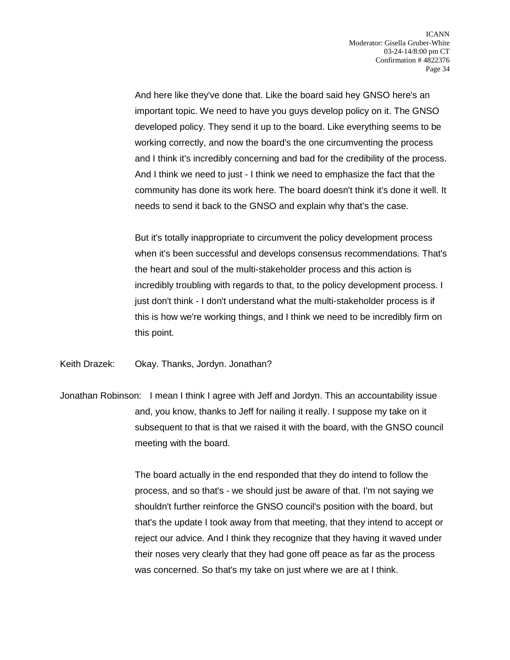And here like they've done that. Like the board said hey GNSO here's an important topic. We need to have you guys develop policy on it. The GNSO developed policy. They send it up to the board. Like everything seems to be working correctly, and now the board's the one circumventing the process and I think it's incredibly concerning and bad for the credibility of the process. And I think we need to just - I think we need to emphasize the fact that the community has done its work here. The board doesn't think it's done it well. It needs to send it back to the GNSO and explain why that's the case.

But it's totally inappropriate to circumvent the policy development process when it's been successful and develops consensus recommendations. That's the heart and soul of the multi-stakeholder process and this action is incredibly troubling with regards to that, to the policy development process. I just don't think - I don't understand what the multi-stakeholder process is if this is how we're working things, and I think we need to be incredibly firm on this point.

Keith Drazek: Okay. Thanks, Jordyn. Jonathan?

Jonathan Robinson: I mean I think I agree with Jeff and Jordyn. This an accountability issue and, you know, thanks to Jeff for nailing it really. I suppose my take on it subsequent to that is that we raised it with the board, with the GNSO council meeting with the board.

> The board actually in the end responded that they do intend to follow the process, and so that's - we should just be aware of that. I'm not saying we shouldn't further reinforce the GNSO council's position with the board, but that's the update I took away from that meeting, that they intend to accept or reject our advice. And I think they recognize that they having it waved under their noses very clearly that they had gone off peace as far as the process was concerned. So that's my take on just where we are at I think.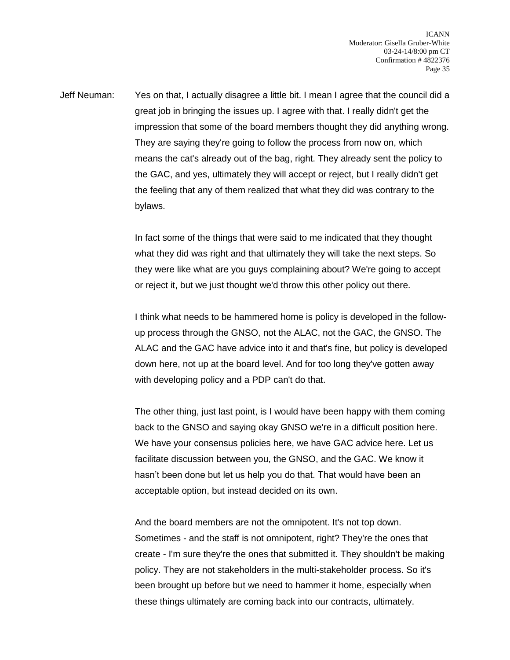Jeff Neuman: Yes on that, I actually disagree a little bit. I mean I agree that the council did a great job in bringing the issues up. I agree with that. I really didn't get the impression that some of the board members thought they did anything wrong. They are saying they're going to follow the process from now on, which means the cat's already out of the bag, right. They already sent the policy to the GAC, and yes, ultimately they will accept or reject, but I really didn't get the feeling that any of them realized that what they did was contrary to the bylaws.

> In fact some of the things that were said to me indicated that they thought what they did was right and that ultimately they will take the next steps. So they were like what are you guys complaining about? We're going to accept or reject it, but we just thought we'd throw this other policy out there.

I think what needs to be hammered home is policy is developed in the followup process through the GNSO, not the ALAC, not the GAC, the GNSO. The ALAC and the GAC have advice into it and that's fine, but policy is developed down here, not up at the board level. And for too long they've gotten away with developing policy and a PDP can't do that.

The other thing, just last point, is I would have been happy with them coming back to the GNSO and saying okay GNSO we're in a difficult position here. We have your consensus policies here, we have GAC advice here. Let us facilitate discussion between you, the GNSO, and the GAC. We know it hasn't been done but let us help you do that. That would have been an acceptable option, but instead decided on its own.

And the board members are not the omnipotent. It's not top down. Sometimes - and the staff is not omnipotent, right? They're the ones that create - I'm sure they're the ones that submitted it. They shouldn't be making policy. They are not stakeholders in the multi-stakeholder process. So it's been brought up before but we need to hammer it home, especially when these things ultimately are coming back into our contracts, ultimately.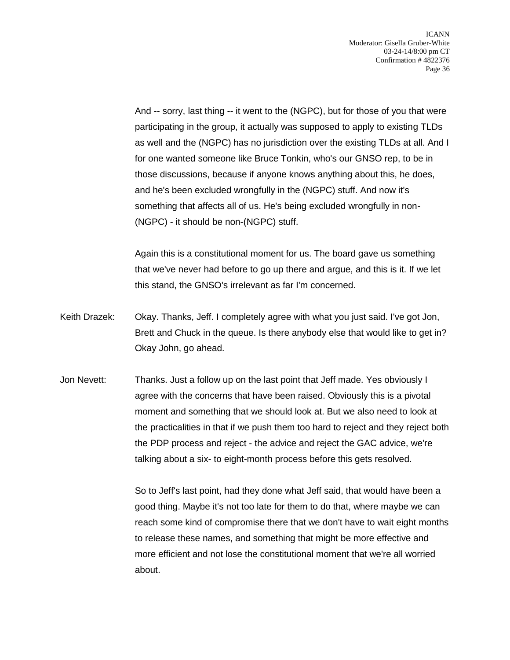And -- sorry, last thing -- it went to the (NGPC), but for those of you that were participating in the group, it actually was supposed to apply to existing TLDs as well and the (NGPC) has no jurisdiction over the existing TLDs at all. And I for one wanted someone like Bruce Tonkin, who's our GNSO rep, to be in those discussions, because if anyone knows anything about this, he does, and he's been excluded wrongfully in the (NGPC) stuff. And now it's something that affects all of us. He's being excluded wrongfully in non- (NGPC) - it should be non-(NGPC) stuff.

Again this is a constitutional moment for us. The board gave us something that we've never had before to go up there and argue, and this is it. If we let this stand, the GNSO's irrelevant as far I'm concerned.

- Keith Drazek: Okay. Thanks, Jeff. I completely agree with what you just said. I've got Jon, Brett and Chuck in the queue. Is there anybody else that would like to get in? Okay John, go ahead.
- Jon Nevett: Thanks. Just a follow up on the last point that Jeff made. Yes obviously I agree with the concerns that have been raised. Obviously this is a pivotal moment and something that we should look at. But we also need to look at the practicalities in that if we push them too hard to reject and they reject both the PDP process and reject - the advice and reject the GAC advice, we're talking about a six- to eight-month process before this gets resolved.

So to Jeff's last point, had they done what Jeff said, that would have been a good thing. Maybe it's not too late for them to do that, where maybe we can reach some kind of compromise there that we don't have to wait eight months to release these names, and something that might be more effective and more efficient and not lose the constitutional moment that we're all worried about.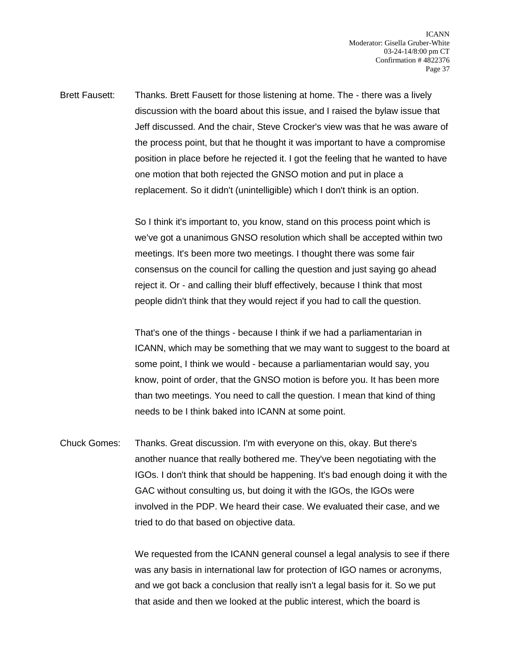Brett Fausett: Thanks. Brett Fausett for those listening at home. The - there was a lively discussion with the board about this issue, and I raised the bylaw issue that Jeff discussed. And the chair, Steve Crocker's view was that he was aware of the process point, but that he thought it was important to have a compromise position in place before he rejected it. I got the feeling that he wanted to have one motion that both rejected the GNSO motion and put in place a replacement. So it didn't (unintelligible) which I don't think is an option.

> So I think it's important to, you know, stand on this process point which is we've got a unanimous GNSO resolution which shall be accepted within two meetings. It's been more two meetings. I thought there was some fair consensus on the council for calling the question and just saying go ahead reject it. Or - and calling their bluff effectively, because I think that most people didn't think that they would reject if you had to call the question.

That's one of the things - because I think if we had a parliamentarian in ICANN, which may be something that we may want to suggest to the board at some point, I think we would - because a parliamentarian would say, you know, point of order, that the GNSO motion is before you. It has been more than two meetings. You need to call the question. I mean that kind of thing needs to be I think baked into ICANN at some point.

Chuck Gomes: Thanks. Great discussion. I'm with everyone on this, okay. But there's another nuance that really bothered me. They've been negotiating with the IGOs. I don't think that should be happening. It's bad enough doing it with the GAC without consulting us, but doing it with the IGOs, the IGOs were involved in the PDP. We heard their case. We evaluated their case, and we tried to do that based on objective data.

> We requested from the ICANN general counsel a legal analysis to see if there was any basis in international law for protection of IGO names or acronyms, and we got back a conclusion that really isn't a legal basis for it. So we put that aside and then we looked at the public interest, which the board is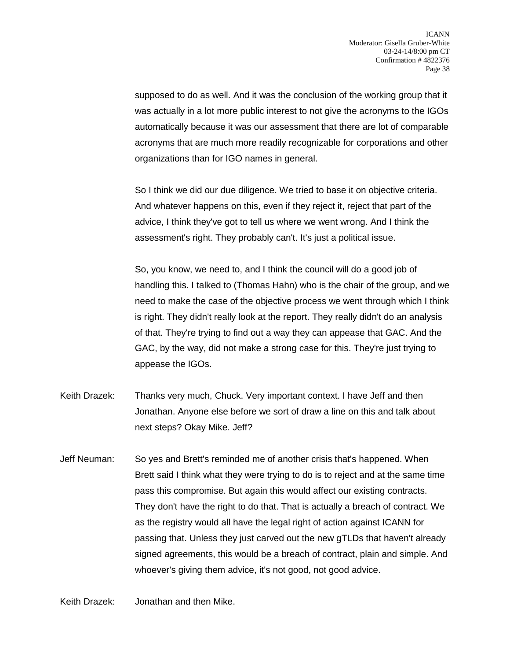supposed to do as well. And it was the conclusion of the working group that it was actually in a lot more public interest to not give the acronyms to the IGOs automatically because it was our assessment that there are lot of comparable acronyms that are much more readily recognizable for corporations and other organizations than for IGO names in general.

So I think we did our due diligence. We tried to base it on objective criteria. And whatever happens on this, even if they reject it, reject that part of the advice, I think they've got to tell us where we went wrong. And I think the assessment's right. They probably can't. It's just a political issue.

So, you know, we need to, and I think the council will do a good job of handling this. I talked to (Thomas Hahn) who is the chair of the group, and we need to make the case of the objective process we went through which I think is right. They didn't really look at the report. They really didn't do an analysis of that. They're trying to find out a way they can appease that GAC. And the GAC, by the way, did not make a strong case for this. They're just trying to appease the IGOs.

- Keith Drazek: Thanks very much, Chuck. Very important context. I have Jeff and then Jonathan. Anyone else before we sort of draw a line on this and talk about next steps? Okay Mike. Jeff?
- Jeff Neuman: So yes and Brett's reminded me of another crisis that's happened. When Brett said I think what they were trying to do is to reject and at the same time pass this compromise. But again this would affect our existing contracts. They don't have the right to do that. That is actually a breach of contract. We as the registry would all have the legal right of action against ICANN for passing that. Unless they just carved out the new gTLDs that haven't already signed agreements, this would be a breach of contract, plain and simple. And whoever's giving them advice, it's not good, not good advice.

Keith Drazek: Jonathan and then Mike.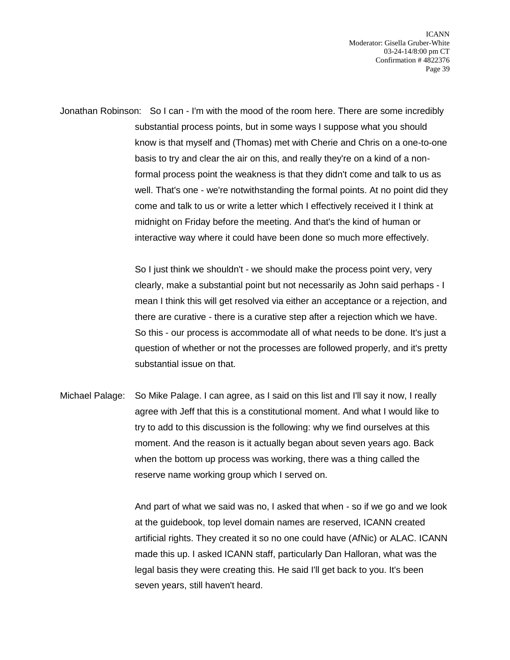ICANN Moderator: Gisella Gruber-White 03-24-14/8:00 pm CT Confirmation # 4822376 Page 39

Jonathan Robinson: So I can - I'm with the mood of the room here. There are some incredibly substantial process points, but in some ways I suppose what you should know is that myself and (Thomas) met with Cherie and Chris on a one-to-one basis to try and clear the air on this, and really they're on a kind of a nonformal process point the weakness is that they didn't come and talk to us as well. That's one - we're notwithstanding the formal points. At no point did they come and talk to us or write a letter which I effectively received it I think at midnight on Friday before the meeting. And that's the kind of human or interactive way where it could have been done so much more effectively.

> So I just think we shouldn't - we should make the process point very, very clearly, make a substantial point but not necessarily as John said perhaps - I mean I think this will get resolved via either an acceptance or a rejection, and there are curative - there is a curative step after a rejection which we have. So this - our process is accommodate all of what needs to be done. It's just a question of whether or not the processes are followed properly, and it's pretty substantial issue on that.

Michael Palage: So Mike Palage. I can agree, as I said on this list and I'll say it now, I really agree with Jeff that this is a constitutional moment. And what I would like to try to add to this discussion is the following: why we find ourselves at this moment. And the reason is it actually began about seven years ago. Back when the bottom up process was working, there was a thing called the reserve name working group which I served on.

> And part of what we said was no, I asked that when - so if we go and we look at the guidebook, top level domain names are reserved, ICANN created artificial rights. They created it so no one could have (AfNic) or ALAC. ICANN made this up. I asked ICANN staff, particularly Dan Halloran, what was the legal basis they were creating this. He said I'll get back to you. It's been seven years, still haven't heard.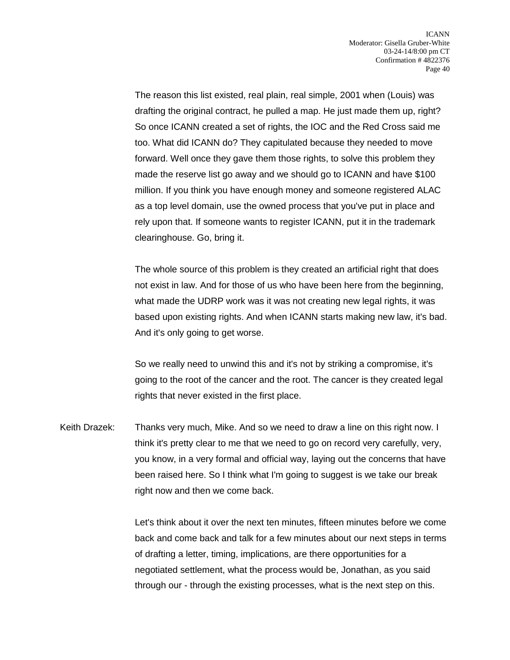The reason this list existed, real plain, real simple, 2001 when (Louis) was drafting the original contract, he pulled a map. He just made them up, right? So once ICANN created a set of rights, the IOC and the Red Cross said me too. What did ICANN do? They capitulated because they needed to move forward. Well once they gave them those rights, to solve this problem they made the reserve list go away and we should go to ICANN and have \$100 million. If you think you have enough money and someone registered ALAC as a top level domain, use the owned process that you've put in place and rely upon that. If someone wants to register ICANN, put it in the trademark clearinghouse. Go, bring it.

The whole source of this problem is they created an artificial right that does not exist in law. And for those of us who have been here from the beginning, what made the UDRP work was it was not creating new legal rights, it was based upon existing rights. And when ICANN starts making new law, it's bad. And it's only going to get worse.

So we really need to unwind this and it's not by striking a compromise, it's going to the root of the cancer and the root. The cancer is they created legal rights that never existed in the first place.

Keith Drazek: Thanks very much, Mike. And so we need to draw a line on this right now. I think it's pretty clear to me that we need to go on record very carefully, very, you know, in a very formal and official way, laying out the concerns that have been raised here. So I think what I'm going to suggest is we take our break right now and then we come back.

> Let's think about it over the next ten minutes, fifteen minutes before we come back and come back and talk for a few minutes about our next steps in terms of drafting a letter, timing, implications, are there opportunities for a negotiated settlement, what the process would be, Jonathan, as you said through our - through the existing processes, what is the next step on this.